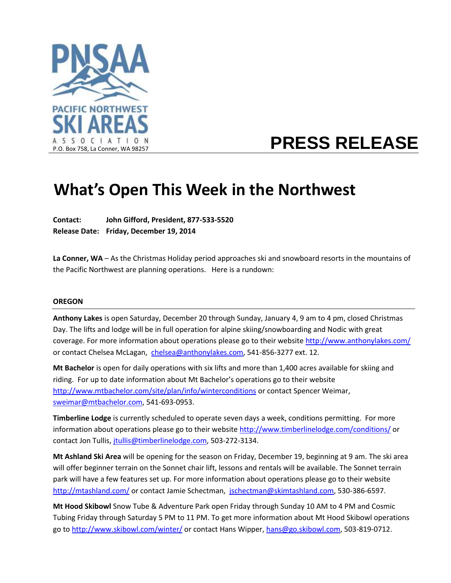

# **PRESS RELEASE**

# **What's Open This Week in the Northwest**

**Contact: John Gifford, President, 877-533-5520 Release Date: Friday, December 19, 2014**

**La Conner, WA** – As the Christmas Holiday period approaches ski and snowboard resorts in the mountains of the Pacific Northwest are planning operations. Here is a rundown:

# **OREGON**

**Anthony Lakes** is open Saturday, December 20 through Sunday, January 4, 9 am to 4 pm, closed Christmas Day. The lifts and lodge will be in full operation for alpine skiing/snowboarding and Nodic with great coverage. For more information about operations please go to their websit[e http://www.anthonylakes.com/](http://www.anthonylakes.com/) or contact Chelsea McLagan, [chelsea@anthonylakes.com,](mailto:chelsea@anthonylakes.com) 541-856-3277 ext. 12.

**Mt Bachelor** is open for daily operations with six lifts and more than 1,400 acres available for skiing and riding. For up to date information about Mt Bachelor's operations go to their website <http://www.mtbachelor.com/site/plan/info/winterconditions> or contact Spencer Weimar, [sweimar@mtbachelor.com,](mailto:sweimar@mtbachelor.com) 541-693-0953.

**Timberline Lodge** is currently scheduled to operate seven days a week, conditions permitting. For more information about operations please go to their website<http://www.timberlinelodge.com/conditions/> or contact Jon Tullis, [jtullis@timberlinelodge.com,](mailto:jtullis@timberlinelodge.com) 503-272-3134.

**Mt Ashland Ski Area** will be opening for the season on Friday, December 19, beginning at 9 am. The ski area will offer beginner terrain on the Sonnet chair lift, lessons and rentals will be available. The Sonnet terrain park will have a few features set up. For more information about operations please go to their website <http://mtashland.com/> or contact Jamie Schectman, [jschectman@skimtashland.com,](mailto:jschectman@skimtashland.com) 530-386-6597.

**Mt Hood Skibowl** Snow Tube & Adventure Park open Friday through Sunday 10 AM to 4 PM and Cosmic Tubing Friday through Saturday 5 PM to 11 PM. To get more information about Mt Hood Skibowl operations go to<http://www.skibowl.com/winter/> or contact Hans Wipper[, hans@go.skibowl.com,](mailto:hans@go.skibowl.com) 503-819-0712.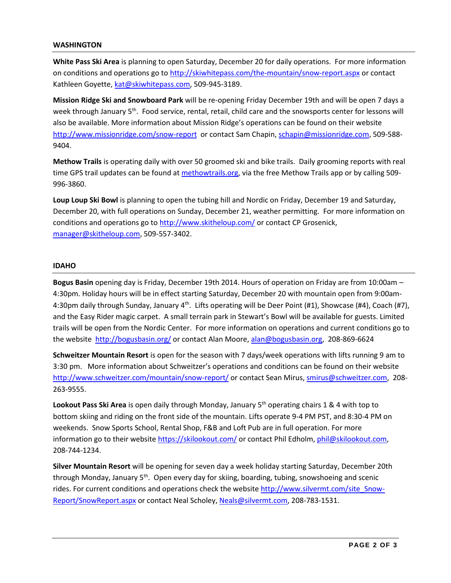# **WASHINGTON**

**White Pass Ski Area** is planning to open Saturday, December 20 for daily operations. For more information on conditions and operations go t[o http://skiwhitepass.com/the-mountain/snow-report.aspx](http://skiwhitepass.com/the-mountain/snow-report.aspx) or contact Kathleen Goyette[, kat@skiwhitepass.com,](mailto:kat@skiwhitepass.com) 509-945-3189.

**Mission Ridge Ski and Snowboard Park** will be re-opening Friday December 19th and will be open 7 days a week through January 5<sup>th</sup>. Food service, rental, retail, child care and the snowsports center for lessons will also be available. More information about Mission Ridge's operations can be found on their website <http://www.missionridge.com/snow-report> or contact Sam Chapin, [schapin@missionridge.com,](mailto:schapin@missionridge.com) 509-588- 9404.

**Methow Trails** is operating daily with over 50 groomed ski and bike trails.Daily grooming reports with real time GPS trail updates can be found a[t methowtrails.org,](http://methowtrails.org/winter-trails/grooming/) via the free Methow Trails app or by calling 509- 996-3860.

**Loup Loup Ski Bowl** is planning to open the tubing hill and Nordic on Friday, December 19 and Saturday, December 20, with full operations on Sunday, December 21, weather permitting.For more information on conditions and operations go t[o http://www.skitheloup.com/](http://www.skitheloup.com/) or contact CP Grosenick, [manager@skitheloup.com,](mailto:manager@skitheloup.com) 509-557-3402.

# **IDAHO**

**Bogus Basin** opening day is Friday, December 19th 2014. Hours of operation on Friday are from 10:00am – 4:30pm. Holiday hours will be in effect starting Saturday, December 20 with mountain open from 9:00am-4:30pm daily through Sunday, January 4<sup>th</sup>. Lifts operating will be Deer Point (#1), Showcase (#4), Coach (#7), and the Easy Rider magic carpet. A small terrain park in Stewart's Bowl will be available for guests. Limited trails will be open from the Nordic Center. For more information on operations and current conditions go to the website<http://bogusbasin.org/> or contact Alan Moore, [alan@bogusbasin.org,](mailto:alan@bogusbasin.org) 208-869-6624

**Schweitzer Mountain Resort** is open for the season with 7 days/week operations with lifts running 9 am to 3:30 pm. More information about Schweitzer's operations and conditions can be found on their website <http://www.schweitzer.com/mountain/snow-report/> or contact Sean Mirus, [smirus@schweitzer.com,](mailto:smirus@schweitzer.com) 208- 263-9555.

Lookout Pass Ski Area is open daily through Monday, January 5<sup>th</sup> operating chairs 1 & 4 with top to bottom skiing and riding on the front side of the mountain. Lifts operate 9-4 PM PST, and 8:30-4 PM on weekends. Snow Sports School, Rental Shop, F&B and Loft Pub are in full operation. For more information go to their websit[e https://skilookout.com/](https://skilookout.com/) or contact Phil Edholm[, phil@skilookout.com,](mailto:phil@skilookout.com) 208-744-1234.

**Silver Mountain Resort** will be opening for seven day a week holiday starting Saturday, December 20th through Monday, January 5<sup>th</sup>. Open every day for skiing, boarding, tubing, snowshoeing and scenic rides. For current conditions and operations check the website [http://www.silvermt.com/site\\_Snow-](http://www.silvermt.com/site_Snow-Report/SnowReport.aspx)[Report/SnowReport.aspx](http://www.silvermt.com/site_Snow-Report/SnowReport.aspx) or contact Neal Scholey[, Neals@silvermt.com,](mailto:Neals@silvermt.com) 208-783-1531.